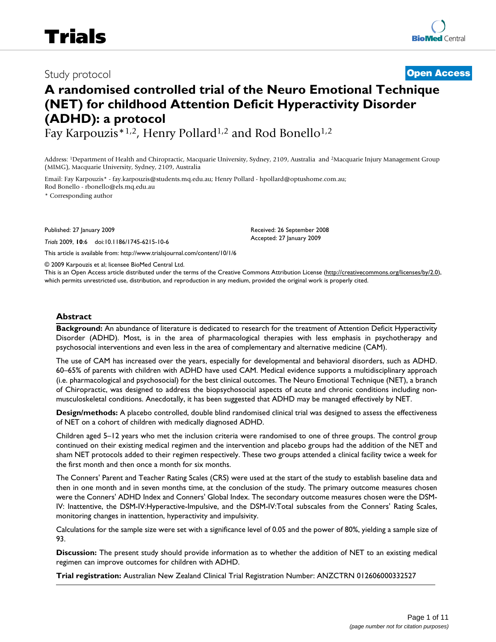## Study protocol **[Open Access](http://www.biomedcentral.com/info/about/charter/)**

# **A randomised controlled trial of the Neuro Emotional Technique (NET) for childhood Attention Deficit Hyperactivity Disorder (ADHD): a protocol**

Fay Karpouzis<sup>\*1,2</sup>, Henry Pollard<sup>1,2</sup> and Rod Bonello<sup>1,2</sup>

Address: 1Department of Health and Chiropractic, Macquarie University, Sydney, 2109, Australia and 2Macquarie Injury Management Group (MIMG), Macquarie University, Sydney, 2109, Australia

Email: Fay Karpouzis\* - fay.karpouzis@students.mq.edu.au; Henry Pollard - hpollard@optushome.com.au; Rod Bonello - rbonello@els.mq.edu.au

\* Corresponding author

Published: 27 January 2009

*Trials* 2009, **10**:6 doi:10.1186/1745-6215-10-6

[This article is available from: http://www.trialsjournal.com/content/10/1/6](http://www.trialsjournal.com/content/10/1/6)

© 2009 Karpouzis et al; licensee BioMed Central Ltd.

This is an Open Access article distributed under the terms of the Creative Commons Attribution License [\(http://creativecommons.org/licenses/by/2.0\)](http://creativecommons.org/licenses/by/2.0), which permits unrestricted use, distribution, and reproduction in any medium, provided the original work is properly cited.

Received: 26 September 2008 Accepted: 27 January 2009

#### **Abstract**

**Background:** An abundance of literature is dedicated to research for the treatment of Attention Deficit Hyperactivity Disorder (ADHD). Most, is in the area of pharmacological therapies with less emphasis in psychotherapy and psychosocial interventions and even less in the area of complementary and alternative medicine (CAM).

The use of CAM has increased over the years, especially for developmental and behavioral disorders, such as ADHD. 60–65% of parents with children with ADHD have used CAM. Medical evidence supports a multidisciplinary approach (i.e. pharmacological and psychosocial) for the best clinical outcomes. The Neuro Emotional Technique (NET), a branch of Chiropractic, was designed to address the biopsychosocial aspects of acute and chronic conditions including nonmusculoskeletal conditions. Anecdotally, it has been suggested that ADHD may be managed effectively by NET.

**Design/methods:** A placebo controlled, double blind randomised clinical trial was designed to assess the effectiveness of NET on a cohort of children with medically diagnosed ADHD.

Children aged 5–12 years who met the inclusion criteria were randomised to one of three groups. The control group continued on their existing medical regimen and the intervention and placebo groups had the addition of the NET and sham NET protocols added to their regimen respectively. These two groups attended a clinical facility twice a week for the first month and then once a month for six months.

The Conners' Parent and Teacher Rating Scales (CRS) were used at the start of the study to establish baseline data and then in one month and in seven months time, at the conclusion of the study. The primary outcome measures chosen were the Conners' ADHD Index and Conners' Global Index. The secondary outcome measures chosen were the DSM-IV: Inattentive, the DSM-IV:Hyperactive-Impulsive, and the DSM-IV:Total subscales from the Conners' Rating Scales, monitoring changes in inattention, hyperactivity and impulsivity.

Calculations for the sample size were set with a significance level of 0.05 and the power of 80%, yielding a sample size of 93.

**Discussion:** The present study should provide information as to whether the addition of NET to an existing medical regimen can improve outcomes for children with ADHD.

**Trial registration:** Australian New Zealand Clinical Trial Registration Number: ANZCTRN 012606000332527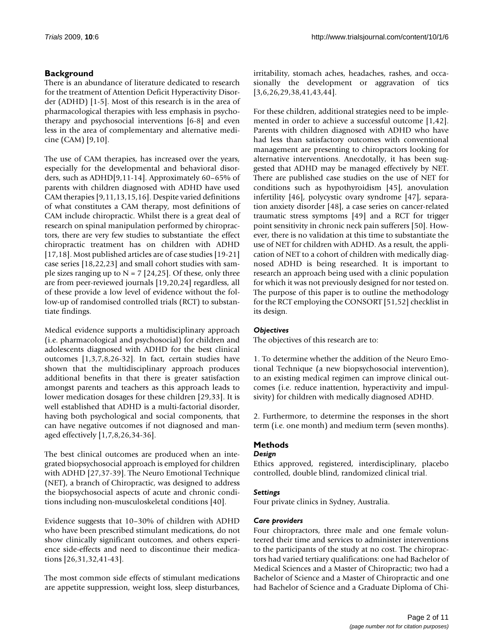### **Background**

There is an abundance of literature dedicated to research for the treatment of Attention Deficit Hyperactivity Disorder (ADHD) [1-5]. Most of this research is in the area of pharmacological therapies with less emphasis in psychotherapy and psychosocial interventions [6-8] and even less in the area of complementary and alternative medicine (CAM) [9,10].

The use of CAM therapies, has increased over the years, especially for the developmental and behavioral disorders, such as ADHD[9,11-14]. Approximately 60–65% of parents with children diagnosed with ADHD have used CAM therapies [9,11,13,15,16]. Despite varied definitions of what constitutes a CAM therapy, most definitions of CAM include chiropractic. Whilst there is a great deal of research on spinal manipulation performed by chiropractors, there are very few studies to substantiate the effect chiropractic treatment has on children with ADHD [17,18]. Most published articles are of case studies [19-21] case series [18,22,23] and small cohort studies with sample sizes ranging up to  $N = 7$  [24,25]. Of these, only three are from peer-reviewed journals [19,20,24] regardless, all of these provide a low level of evidence without the follow-up of randomised controlled trials (RCT) to substantiate findings.

Medical evidence supports a multidisciplinary approach (i.e. pharmacological and psychosocial) for children and adolescents diagnosed with ADHD for the best clinical outcomes [1,3,7,8,26-32]. In fact, certain studies have shown that the multidisciplinary approach produces additional benefits in that there is greater satisfaction amongst parents and teachers as this approach leads to lower medication dosages for these children [29,33]. It is well established that ADHD is a multi-factorial disorder, having both psychological and social components, that can have negative outcomes if not diagnosed and managed effectively [1,7,8,26,34-36].

The best clinical outcomes are produced when an integrated biopsychosocial approach is employed for children with ADHD [27,37-39]. The Neuro Emotional Technique (NET), a branch of Chiropractic, was designed to address the biopsychosocial aspects of acute and chronic conditions including non-musculoskeletal conditions [40].

Evidence suggests that 10–30% of children with ADHD who have been prescribed stimulant medications, do not show clinically significant outcomes, and others experience side-effects and need to discontinue their medications [26,31,32,41-43].

The most common side effects of stimulant medications are appetite suppression, weight loss, sleep disturbances,

irritability, stomach aches, headaches, rashes, and occasionally the development or aggravation of tics [3,6,26,29,38,41,43,44].

For these children, additional strategies need to be implemented in order to achieve a successful outcome [1,42]. Parents with children diagnosed with ADHD who have had less than satisfactory outcomes with conventional management are presenting to chiropractors looking for alternative interventions. Anecdotally, it has been suggested that ADHD may be managed effectively by NET. There are published case studies on the use of NET for conditions such as hypothyroidism [45], anovulation infertility [46], polycystic ovary syndrome [47], separation anxiety disorder [48], a case series on cancer-related traumatic stress symptoms [49] and a RCT for trigger point sensitivity in chronic neck pain sufferers [50]. However, there is no validation at this time to substantiate the use of NET for children with ADHD. As a result, the application of NET to a cohort of children with medically diagnosed ADHD is being researched. It is important to research an approach being used with a clinic population for which it was not previously designed for nor tested on. The purpose of this paper is to outline the methodology for the RCT employing the CONSORT [51,52] checklist in its design.

#### *Objectives*

The objectives of this research are to:

1. To determine whether the addition of the Neuro Emotional Technique (a new biopsychosocial intervention), to an existing medical regimen can improve clinical outcomes (i.e. reduce inattention, hyperactivity and impulsivity) for children with medically diagnosed ADHD.

2. Furthermore, to determine the responses in the short term (i.e. one month) and medium term (seven months).

### **Methods**

#### *Design*

Ethics approved, registered, interdisciplinary, placebo controlled, double blind, randomized clinical trial.

#### *Settings*

Four private clinics in Sydney, Australia.

#### *Care providers*

Four chiropractors, three male and one female volunteered their time and services to administer interventions to the participants of the study at no cost. The chiropractors had varied tertiary qualifications: one had Bachelor of Medical Sciences and a Master of Chiropractic; two had a Bachelor of Science and a Master of Chiropractic and one had Bachelor of Science and a Graduate Diploma of Chi-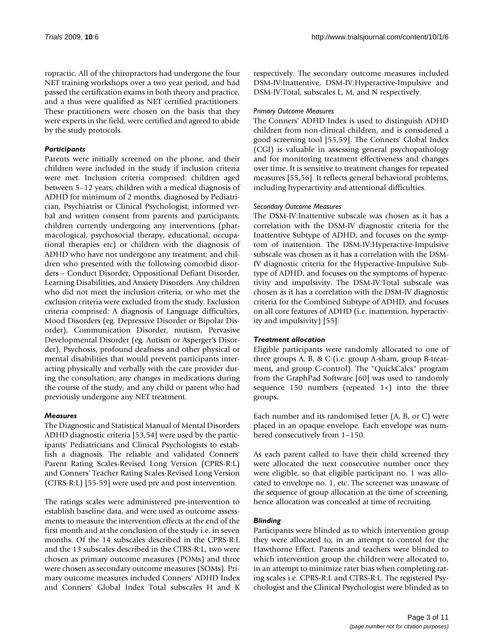ropractic. All of the chiropractors had undergone the four NET training workshops over a two year period, and had passed the certification exams in both theory and practice, and a thus were qualified as NET certified practitioners. These practitioners were chosen on the basis that they were experts in the field, were certified and agreed to abide by the study protocols.

#### *Participants*

Parents were initially screened on the phone, and their children were included in the study if inclusion criteria were met. Inclusion criteria comprised: children aged between 5–12 years; children with a medical diagnosis of ADHD for minimum of 2 months, diagnosed by Pediatrician, Psychiatrist or Clinical Psychologist; informed verbal and written consent from parents and participants; children currently undergoing any interventions (pharmacological, psychosocial therapy, educational, occupational therapies etc) or children with the diagnosis of ADHD who have not undergone any treatment; and children who presented with the following comorbid disorders – Conduct Disorder, Oppositional Defiant Disorder, Learning Disabilities, and Anxiety Disorders. Any children who did not meet the inclusion criteria, or who met the exclusion criteria were excluded from the study. Exclusion criteria comprised: A diagnosis of Language difficulties, Mood Disorders (eg. Depressive Disorder or Bipolar Disorder), Communication Disorder, mutism, Pervasive Developmental Disorder (eg. Autism or Asperger's Disorder), Psychosis, profound deafness and other physical or mental disabilities that would prevent participants interacting physically and verbally with the care provider during the consultation; any changes in medications during the course of the study, and any child or parent who had previously undergone any NET treatment.

#### *Measures*

The Diagnostic and Statistical Manual of Mental Disorders ADHD diagnostic criteria [53,54] were used by the participants' Pediatricians and Clinical Psychologists to establish a diagnosis. The reliable and validated Conners' Parent Rating Scales-Revised Long Version (CPRS-R:L) and Conners' Teacher Rating Scales-Revised Long Version (CTRS-R:L) [55-59] were used pre and post intervention.

The ratings scales were administered pre-intervention to establish baseline data, and were used as outcome assessments to measure the intervention effects at the end of the first month and at the conclusion of the study i.e. in seven months. Of the 14 subscales described in the CPRS-R:L and the 13 subscales described in the CTRS-R:L, two were chosen as primary outcome measures (POMs) and three were chosen as secondary outcome measures (SOMs). Primary outcome measures included Conners' ADHD Index and Conners' Global Index Total subscales H and K respectively. The secondary outcome measures included DSM-IV:Inattentive, DSM-IV:Hyperactive-Impulsive and DSM-IV:Total, subscales L, M, and N respectively.

#### *Primary Outcome Measures*

The Conners' ADHD Index is used to distinguish ADHD children from non-clinical children, and is considered a good screening tool [55,59]. The Conners' Global Index (CGI) is valuable in assessing general psychopathology and for monitoring treatment effectiveness and changes over time. It is sensitive to treatment changes for repeated measures [55,56]. It reflects general behavioral problems, including hyperactivity and attentional difficulties.

#### *Secondary Outcome Measures*

The DSM-IV:Inattentive subscale was chosen as it has a correlation with the DSM-IV diagnostic criteria for the Inattentive Subtype of ADHD, and focuses on the symptom of inattention. The DSM-IV:Hyperactive-Impulsive subscale was chosen as it has a correlation with the DSM-IV diagnostic criteria for the Hyperactive-Impulsive Subtype of ADHD, and focuses on the symptoms of hyperactivity and impulsivity. The DSM-IV:Total subscale was chosen as it has a correlation with the DSM-IV diagnostic criteria for the Combined Subtype of ADHD, and focuses on all core features of ADHD (i.e. inattention, hyperactivity and impulsivity) [55].

#### *Treatment allocation*

Eligible participants were randomly allocated to one of three groups A, B, & C (i.e. group A-sham, group B-treatment, and group C-control). The "QuickCalcs" program from the GraphPad Software [60] was used to randomly sequence 150 numbers (repeated 1×) into the three groups.

Each number and its randomised letter (A, B, or C) were placed in an opaque envelope. Each envelope was numbered consecutively from 1–150.

As each parent called to have their child screened they were allocated the next consecutive number once they were eligible, so that eligible participant no. 1 was allocated to envelope no. 1, etc. The screener was unaware of the sequence of group allocation at the time of screening, hence allocation was concealed at time of recruiting.

#### *Blinding*

Participants were blinded as to which intervention group they were allocated to, in an attempt to control for the Hawthorne Effect. Parents and teachers were blinded to which intervention group the children were allocated to, in an attempt to minimize rater bias when completing rating scales i.e. CPRS-R:L and CTRS-R:L. The registered Psychologist and the Clinical Psychologist were blinded as to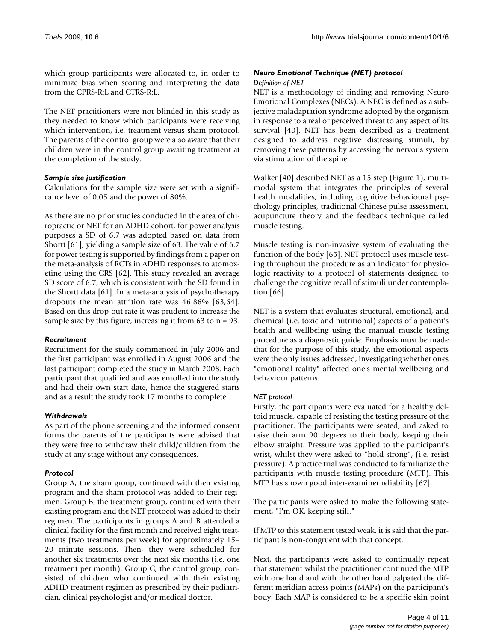which group participants were allocated to, in order to minimize bias when scoring and interpreting the data from the CPRS-R:L and CTRS-R:L.

The NET practitioners were not blinded in this study as they needed to know which participants were receiving which intervention, i.e. treatment versus sham protocol. The parents of the control group were also aware that their children were in the control group awaiting treatment at the completion of the study.

#### *Sample size justification*

Calculations for the sample size were set with a significance level of 0.05 and the power of 80%.

As there are no prior studies conducted in the area of chiropractic or NET for an ADHD cohort, for power analysis purposes a SD of 6.7 was adopted based on data from Shortt [61], yielding a sample size of 63. The value of 6.7 for power testing is supported by findings from a paper on the meta-analysis of RCTs in ADHD responses to atomoxetine using the CRS [62]. This study revealed an average SD score of 6.7, which is consistent with the SD found in the Shortt data [61]. In a meta-analysis of psychotherapy dropouts the mean attrition rate was 46.86% [63,64]. Based on this drop-out rate it was prudent to increase the sample size by this figure, increasing it from 63 to n = 93.

#### *Recruitment*

Recruitment for the study commenced in July 2006 and the first participant was enrolled in August 2006 and the last participant completed the study in March 2008. Each participant that qualified and was enrolled into the study and had their own start date, hence the staggered starts and as a result the study took 17 months to complete.

#### *Withdrawals*

As part of the phone screening and the informed consent forms the parents of the participants were advised that they were free to withdraw their child/children from the study at any stage without any consequences.

#### *Protocol*

Group A, the sham group, continued with their existing program and the sham protocol was added to their regimen. Group B, the treatment group, continued with their existing program and the NET protocol was added to their regimen. The participants in groups A and B attended a clinical facility for the first month and received eight treatments (two treatments per week) for approximately 15– 20 minute sessions. Then, they were scheduled for another six treatments over the next six months (i.e. one treatment per month). Group C, the control group, consisted of children who continued with their existing ADHD treatment regimen as prescribed by their pediatrician, clinical psychologist and/or medical doctor.

#### *Neuro Emotional Technique (NET) protocol Definition of NET*

NET is a methodology of finding and removing Neuro Emotional Complexes (NECs). A NEC is defined as a subjective maladaptation syndrome adopted by the organism in response to a real or perceived threat to any aspect of its survival [40]. NET has been described as a treatment designed to address negative distressing stimuli, by removing these patterns by accessing the nervous system via stimulation of the spine.

Walker [40] described NET as a 15 step (Figure 1), multimodal system that integrates the principles of several health modalities, including cognitive behavioural psychology principles, traditional Chinese pulse assessment, acupuncture theory and the feedback technique called muscle testing.

Muscle testing is non-invasive system of evaluating the function of the body [65]. NET protocol uses muscle testing throughout the procedure as an indicator for physiologic reactivity to a protocol of statements designed to challenge the cognitive recall of stimuli under contemplation [66].

NET is a system that evaluates structural, emotional, and chemical (i.e. toxic and nutritional) aspects of a patient's health and wellbeing using the manual muscle testing procedure as a diagnostic guide. Emphasis must be made that for the purpose of this study, the emotional aspects were the only issues addressed, investigating whether ones "emotional reality" affected one's mental wellbeing and behaviour patterns.

#### *NET protocol*

Firstly, the participants were evaluated for a healthy deltoid muscle, capable of resisting the testing pressure of the practitioner. The participants were seated, and asked to raise their arm 90 degrees to their body, keeping their elbow straight. Pressure was applied to the participant's wrist, whilst they were asked to "hold strong", (i.e. resist pressure). A practice trial was conducted to familiarize the participants with muscle testing procedure (MTP). This MTP has shown good inter-examiner reliability [67].

The participants were asked to make the following statement, "I'm OK, keeping still."

If MTP to this statement tested weak, it is said that the participant is non-congruent with that concept.

Next, the participants were asked to continually repeat that statement whilst the practitioner continued the MTP with one hand and with the other hand palpated the different meridian access points (MAPs) on the participant's body. Each MAP is considered to be a specific skin point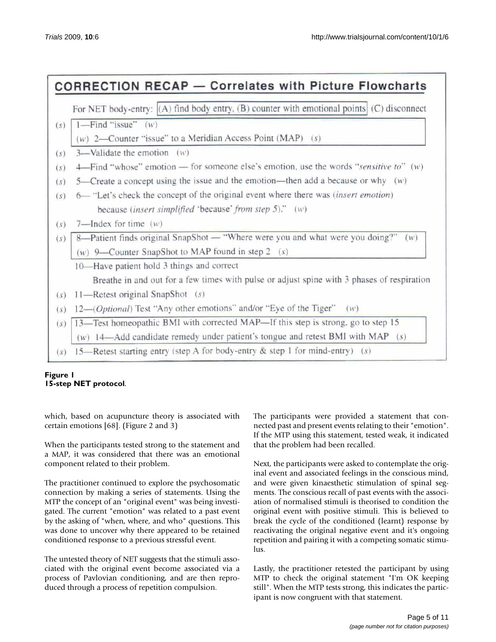

#### **Figure 1 15-step NET protocol**.

which, based on acupuncture theory is associated with certain emotions [68]. (Figure 2 and 3)

When the participants tested strong to the statement and a MAP, it was considered that there was an emotional component related to their problem.

The practitioner continued to explore the psychosomatic connection by making a series of statements. Using the MTP the concept of an "original event" was being investigated. The current "emotion" was related to a past event by the asking of "when, where, and who" questions. This was done to uncover why there appeared to be retained conditioned response to a previous stressful event.

The untested theory of NET suggests that the stimuli associated with the original event become associated via a process of Pavlovian conditioning, and are then reproduced through a process of repetition compulsion.

The participants were provided a statement that connected past and present events relating to their "emotion". If the MTP using this statement, tested weak, it indicated that the problem had been recalled.

Next, the participants were asked to contemplate the original event and associated feelings in the conscious mind, and were given kinaesthetic stimulation of spinal segments. The conscious recall of past events with the association of normalised stimuli is theorised to condition the original event with positive stimuli. This is believed to break the cycle of the conditioned (learnt) response by reactivating the original negative event and it's ongoing repetition and pairing it with a competing somatic stimulus.

Lastly, the practitioner retested the participant by using MTP to check the original statement "I'm OK keeping still". When the MTP tests strong, this indicates the participant is now congruent with that statement.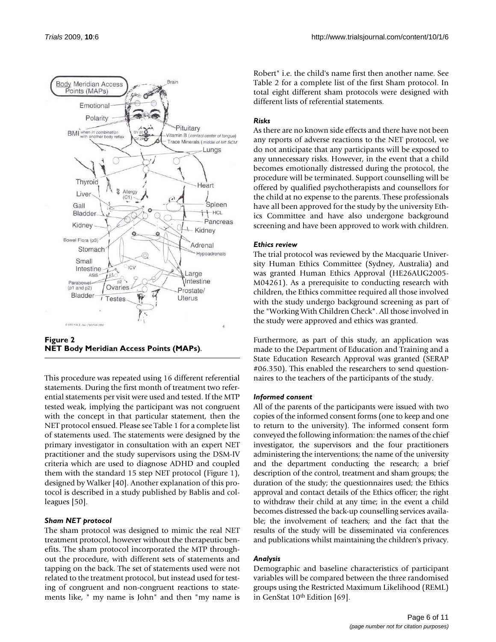

**Figure 2 NET Body Meridian Access Points (MAPs)**.

This procedure was repeated using 16 different referential statements. During the first month of treatment two referential statements per visit were used and tested. If the MTP tested weak, implying the participant was not congruent with the concept in that particular statement, then the NET protocol ensued. Please see Table 1 for a complete list of statements used. The statements were designed by the primary investigator in consultation with an expert NET practitioner and the study supervisors using the DSM-IV criteria which are used to diagnose ADHD and coupled them with the standard 15 step NET protocol (Figure 1), designed by Walker [40]. Another explanation of this protocol is described in a study published by Bablis and colleagues [50].

#### *Sham NET protocol*

The sham protocol was designed to mimic the real NET treatment protocol, however without the therapeutic benefits. The sham protocol incorporated the MTP throughout the procedure, with different sets of statements and tapping on the back. The set of statements used were not related to the treatment protocol, but instead used for testing of congruent and non-congruent reactions to statements like, " my name is John" and then "my name is Robert" i.e. the child's name first then another name. See Table 2 for a complete list of the first Sham protocol. In total eight different sham protocols were designed with different lists of referential statements.

#### *Risks*

As there are no known side effects and there have not been any reports of adverse reactions to the NET protocol, we do not anticipate that any participants will be exposed to any unnecessary risks. However, in the event that a child becomes emotionally distressed during the protocol, the procedure will be terminated. Support counselling will be offered by qualified psychotherapists and counsellors for the child at no expense to the parents. These professionals have all been approved for the study by the university Ethics Committee and have also undergone background screening and have been approved to work with children.

#### *Ethics review*

The trial protocol was reviewed by the Macquarie University Human Ethics Committee (Sydney, Australia) and was granted Human Ethics Approval (HE26AUG2005- M04261). As a prerequisite to conducting research with children, the Ethics committee required all those involved with the study undergo background screening as part of the "Working With Children Check". All those involved in the study were approved and ethics was granted.

Furthermore, as part of this study, an application was made to the Department of Education and Training and a State Education Research Approval was granted (SERAP #06.350). This enabled the researchers to send questionnaires to the teachers of the participants of the study.

#### *Informed consent*

All of the parents of the participants were issued with two copies of the informed consent forms (one to keep and one to return to the university). The informed consent form conveyed the following information: the names of the chief investigator, the supervisors and the four practitioners administering the interventions; the name of the university and the department conducting the research; a brief description of the control, treatment and sham groups; the duration of the study; the questionnaires used; the Ethics approval and contact details of the Ethics officer; the right to withdraw their child at any time; in the event a child becomes distressed the back-up counselling services available; the involvement of teachers; and the fact that the results of the study will be disseminated via conferences and publications whilst maintaining the children's privacy.

#### *Analysis*

Demographic and baseline characteristics of participant variables will be compared between the three randomised groups using the Restricted Maximum Likelihood (REML) in GenStat 10<sup>th</sup> Edition [69].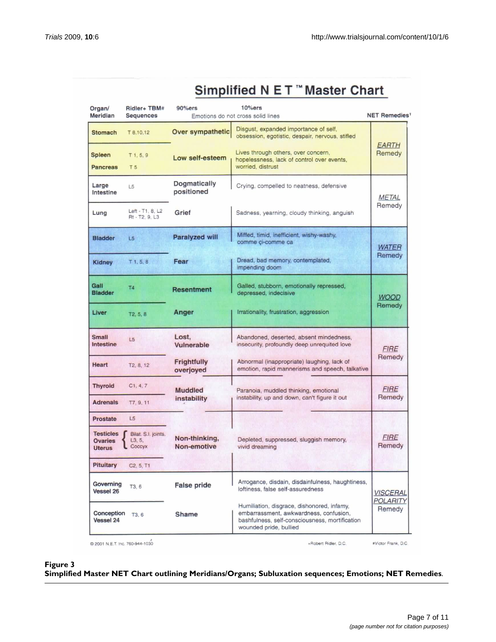| Organ/<br>Meridian                                  | Ridler+ TBM#<br>Sequences               | $90%$ ers                           | $10%$ ers<br>Emotions do not cross solid lines                                                                                                                                                     | <b>NET Remedies<sup>1</sup></b> |  |
|-----------------------------------------------------|-----------------------------------------|-------------------------------------|----------------------------------------------------------------------------------------------------------------------------------------------------------------------------------------------------|---------------------------------|--|
| Stomach<br><b>Spleen</b><br><b>Pancreas</b>         | T 8.10.12<br>T1, 5, 9<br>T <sub>5</sub> | Over sympathetic<br>Low self-esteem | Disgust, expanded importance of self,<br>obsession, egotistic, despair, nervous, stifled<br>Lives through others, over concern,<br>hopelessness, lack of control over events,<br>worried, distrust | EARTH<br>Remedy                 |  |
| Large<br>Intestine                                  | L5                                      | Dogmatically<br>positioned          | Crying, compelled to neatness, defensive                                                                                                                                                           | <b>METAL</b>                    |  |
| Lung                                                | Left - T1, 8, L2<br>Rt - T2, 9, L3      | Grief                               | Sadness, yearning, cloudy thinking, anguish                                                                                                                                                        | Remedy                          |  |
| <b>Bladder</b>                                      | L5                                      | Paralyzed will                      | Miffed, timid, inefficient, wishy-washy,<br>comme ci-comme ca                                                                                                                                      | <b>WATER</b><br>Remedy          |  |
| Kidney                                              | T1, 5, 8                                | Fear                                | Dread, bad memory, contemplated,<br>impending doom                                                                                                                                                 |                                 |  |
| Gall<br><b>Bladder</b>                              | T <sub>4</sub>                          | <b>Resentment</b>                   | Galled, stubborn, emotionally repressed,<br>depressed, indecisive                                                                                                                                  | <b>WOOD</b><br>Remedy           |  |
| Liver                                               | T2, 5, 8                                | Anger                               | Irrationality, frustration, aggression                                                                                                                                                             |                                 |  |
| Small<br>Intestine                                  | L <sub>5</sub>                          | Lost.<br>Vulnerable                 | Abandoned, deserted, absent mindedness,<br>insecurity, profoundly deep unrequited love                                                                                                             | <b>FIRE</b><br>Remedy           |  |
| Heart                                               | T2, 8, 12                               | <b>Frightfully</b><br>overjoyed     | Abnormal (inappropriate) laughing, lack of<br>emotion, rapid mannerisms and speech, talkative                                                                                                      |                                 |  |
| <b>Thyroid</b><br><b>Adrenals</b>                   | C1, 4, 7<br>T7, 9, 11                   | Muddled<br>instability              | Paranoia, muddled thinking, emotional<br>instability, up and down, can't figure it out                                                                                                             | <b>FIRE</b><br>Remedy           |  |
| <b>Prostate</b>                                     | L5                                      |                                     |                                                                                                                                                                                                    |                                 |  |
| <b>Testicles</b><br><b>Ovaries</b><br><b>Uterus</b> | Bilat. S.I. joints,<br>L3, 5,<br>Coccyx | Non-thinking,<br>Non-emotive        | Depleted, suppressed, sluggish memory,<br>vivid dreaming                                                                                                                                           | <b>FIRE</b><br>Remedy           |  |
| Pituitary                                           | C2, 5, T1                               |                                     |                                                                                                                                                                                                    |                                 |  |
| Governing<br>Vessel 26                              | T3, 6                                   | <b>False pride</b>                  | Arrogance, disdain, disdainfulness, haughtiness,<br>loftiness, false self-assuredness                                                                                                              | <b>VISCERAL</b>                 |  |
| Conception<br>Vessel 24                             | T3, 6                                   | Shame                               | Humiliation, disgrace, dishonored, infamy,<br>embarrassment, awkwardness, confusion,<br>bashfulness, self-consciousness, mortification<br>wounded pride, bullied                                   | POLARITY<br>Remedy              |  |
| 2001 N.E.T. Inc. 760-944-1030                       |                                         |                                     | +Robert Ridler, D.C.                                                                                                                                                                               | #Victor Frank, D.C.             |  |

# Simplified N E T<sup>™</sup> Master Chart

Simplified Master NET Chart outlining Meridians/Or **Figure 3** gans; Subluxation sequences; Emotions; NET Remedies **Simplified Master NET Chart outlining Meridians/Organs; Subluxation sequences; Emotions; NET Remedies**.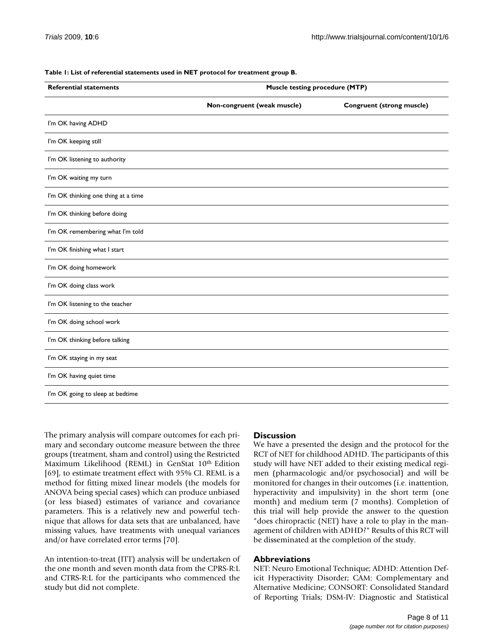#### **Table 1: List of referential statements used in NET protocol for treatment group B.**

| <b>Referential statements</b>       | Muscle testing procedure (MTP) |                                  |  |
|-------------------------------------|--------------------------------|----------------------------------|--|
|                                     | Non-congruent (weak muscle)    | <b>Congruent (strong muscle)</b> |  |
| I'm OK having ADHD                  |                                |                                  |  |
| I'm OK keeping still                |                                |                                  |  |
| I'm OK listening to authority       |                                |                                  |  |
| I'm OK waiting my turn              |                                |                                  |  |
| I'm OK thinking one thing at a time |                                |                                  |  |
| I'm OK thinking before doing        |                                |                                  |  |
| I'm OK remembering what I'm told    |                                |                                  |  |
| I'm OK finishing what I start       |                                |                                  |  |
| I'm OK doing homework               |                                |                                  |  |
| I'm OK doing class work             |                                |                                  |  |
| I'm OK listening to the teacher     |                                |                                  |  |
| I'm OK doing school work            |                                |                                  |  |
| I'm OK thinking before talking      |                                |                                  |  |
| I'm OK staying in my seat           |                                |                                  |  |
| I'm OK having quiet time            |                                |                                  |  |
| I'm OK going to sleep at bedtime    |                                |                                  |  |

The primary analysis will compare outcomes for each primary and secondary outcome measure between the three groups (treatment, sham and control) using the Restricted Maximum Likelihood (REML) in GenStat 10th Edition [69], to estimate treatment effect with 95% CI. REML is a method for fitting mixed linear models (the models for ANOVA being special cases) which can produce unbiased (or less biased) estimates of variance and covariance parameters. This is a relatively new and powerful technique that allows for data sets that are unbalanced, have missing values, have treatments with unequal variances and/or have correlated error terms [70].

An intention-to-treat (ITT) analysis will be undertaken of the one month and seven month data from the CPRS-R:L and CTRS-R:L for the participants who commenced the study but did not complete.

#### **Discussion**

We have a presented the design and the protocol for the RCT of NET for childhood ADHD. The participants of this study will have NET added to their existing medical regimen (pharmacologic and/or psychosocial) and will be monitored for changes in their outcomes (i.e. inattention, hyperactivity and impulsivity) in the short term (one month) and medium term (7 months). Completion of this trial will help provide the answer to the question "does chiropractic (NET) have a role to play in the management of children with ADHD?" Results of this RCT will be disseminated at the completion of the study.

#### **Abbreviations**

NET: Neuro Emotional Technique; ADHD: Attention Deficit Hyperactivity Disorder; CAM: Complementary and Alternative Medicine; CONSORT: Consolidated Standard of Reporting Trials; DSM-IV: Diagnostic and Statistical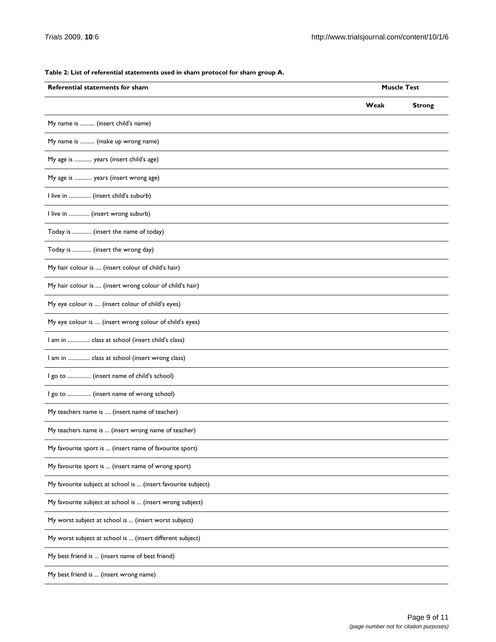**Table 2: List of referential statements used in sham protocol for sham group A.**

| Referential statements for sham                               | <b>Muscle Test</b> |               |
|---------------------------------------------------------------|--------------------|---------------|
|                                                               | Weak               | <b>Strong</b> |
| My name is  (insert child's name)                             |                    |               |
| My name is  (make up wrong name)                              |                    |               |
| My age is  years (insert child's age)                         |                    |               |
| My age is  years (insert wrong age)                           |                    |               |
| I live in  (insert child's suburb)                            |                    |               |
| I live in  (insert wrong suburb)                              |                    |               |
| Today is  (insert the name of today)                          |                    |               |
| Today is  (insert the wrong day)                              |                    |               |
| My hair colour is  (insert colour of child's hair)            |                    |               |
| My hair colour is  (insert wrong colour of child's hair)      |                    |               |
| My eye colour is  (insert colour of child's eyes)             |                    |               |
| My eye colour is  (insert wrong colour of child's eyes)       |                    |               |
| I am in  class at school (insert child's class)               |                    |               |
| I am in  class at school (insert wrong class)                 |                    |               |
| I go to  (insert name of child's school)                      |                    |               |
| I go to  (insert name of wrong school)                        |                    |               |
| My teachers name is  (insert name of teacher)                 |                    |               |
| My teachers name is  (insert wrong name of teacher)           |                    |               |
| My favourite sport is  (insert name of favourite sport)       |                    |               |
| My favourite sport is  (insert name of wrong sport)           |                    |               |
| My favourite subject at school is  (insert favourite subject) |                    |               |
| My favourite subject at school is  (insert wrong subject)     |                    |               |
| My worst subject at school is  (insert worst subject)         |                    |               |
| My worst subject at school is  (insert different subject)     |                    |               |
| My best friend is  (insert name of best friend)               |                    |               |
| My best friend is  (insert wrong name)                        |                    |               |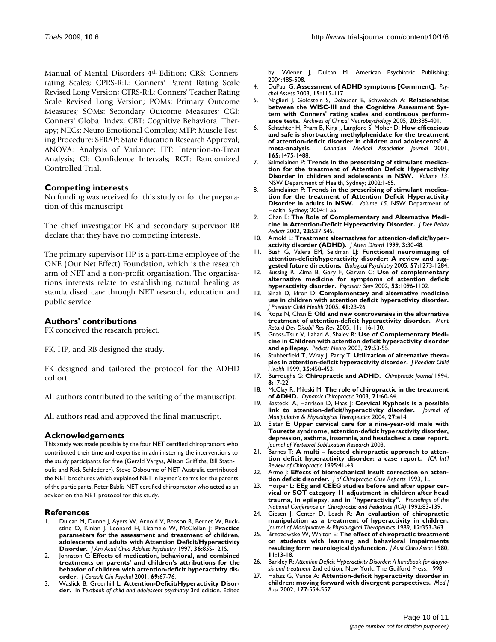Manual of Mental Disorders 4th Edition; CRS: Conners' rating Scales; CPRS-R:L: Conners' Parent Rating Scale Revised Long Version; CTRS-R:L: Conners' Teacher Rating Scale Revised Long Version; POMs: Primary Outcome Measures; SOMs: Secondary Outcome Measures; CGI: Conners' Global Index; CBT: Cognitive Behavioral Therapy; NECs: Neuro Emotional Complex; MTP: Muscle Testing Procedure; SERAP: State Education Research Approval; ANOVA: Analysis of Variance; ITT: Intention-to-Treat Analysis; CI: Confidence Intervals; RCT: Randomized Controlled Trial.

#### **Competing interests**

No funding was received for this study or for the preparation of this manuscript.

The chief investigator FK and secondary supervisor RB declare that they have no competing interests.

The primary supervisor HP is a part-time employee of the ONE (Our Net Effect) Foundation, which is the research arm of NET and a non-profit organisation. The organisations interests relate to establishing natural healing as standardised care through NET research, education and public service.

#### **Authors' contributions**

FK conceived the research project.

FK, HP, and RB designed the study.

FK designed and tailored the protocol for the ADHD cohort.

All authors contributed to the writing of the manuscript.

All authors read and approved the final manuscript.

#### **Acknowledgements**

This study was made possible by the four NET certified chiropractors who contributed their time and expertise in administering the interventions to the study participants for free (Gerald Vargas, Alison Griffiths, Bill Stathoulis and Rick Schlederer). Steve Osbourne of NET Australia contributed the NET brochures which explained NET in laymen's terms for the parents of the participants. Peter Bablis NET certified chiropractor who acted as an advisor on the NET protocol for this study.

#### **References**

- Dulcan M, Dunne J, Ayers W, Arnold V, Benson R, Bernet W, Buckstine O, Kinlan J, Leonard H, Licamele W, McClellan J: **[Practice](http://www.ncbi.nlm.nih.gov/entrez/query.fcgi?cmd=Retrieve&db=PubMed&dopt=Abstract&list_uids=9334567) [parameters for the assessment and treatment of children,](http://www.ncbi.nlm.nih.gov/entrez/query.fcgi?cmd=Retrieve&db=PubMed&dopt=Abstract&list_uids=9334567) adolescents and adults with Attention Deficit/Hyperactivity [Disorder.](http://www.ncbi.nlm.nih.gov/entrez/query.fcgi?cmd=Retrieve&db=PubMed&dopt=Abstract&list_uids=9334567)** *J Am Acad Child Adolesc Psychiatry* 1997, **36:**85S-121S.
- 2. Johnston C: **[Effects of medication, behavioral, and combined](http://www.ncbi.nlm.nih.gov/entrez/query.fcgi?cmd=Retrieve&db=PubMed&dopt=Abstract&list_uids=11302279) [treatments on parents' and children's attributions for the](http://www.ncbi.nlm.nih.gov/entrez/query.fcgi?cmd=Retrieve&db=PubMed&dopt=Abstract&list_uids=11302279) behavior of children with attention-deficit hyperactivity dis[order.](http://www.ncbi.nlm.nih.gov/entrez/query.fcgi?cmd=Retrieve&db=PubMed&dopt=Abstract&list_uids=11302279)** *J Consult Clin Psychol* 2001, **69:**67-76.
- 3. Waslick B, Greenhill L: **Attention-Deficit/Hyperactivity Disorder.** In *Textbook of child and adolescent psychiatry* 3rd edition. Edited

by: Wiener J, Dulcan M. American Psychiatric Publishing; 2004:485-508.

- 4. DuPaul G: **[Assessment of ADHD symptoms \[Comment\].](http://www.ncbi.nlm.nih.gov/entrez/query.fcgi?cmd=Retrieve&db=PubMed&dopt=Abstract&list_uids=12674731)** *Psychol Assess* 2003, **15:**115-117.
- 5. Naglieri J, Goldstein S, Delauder B, Schwebach A: **[Relationships](http://www.ncbi.nlm.nih.gov/entrez/query.fcgi?cmd=Retrieve&db=PubMed&dopt=Abstract&list_uids=15797174) [between the WISC-III and the Cognitive Assessment Sys](http://www.ncbi.nlm.nih.gov/entrez/query.fcgi?cmd=Retrieve&db=PubMed&dopt=Abstract&list_uids=15797174)tem with Conners' rating scales and continuous perform[ance tests.](http://www.ncbi.nlm.nih.gov/entrez/query.fcgi?cmd=Retrieve&db=PubMed&dopt=Abstract&list_uids=15797174)** *Archives of Clinical Neuropsychology* 2005, **20:**385-401.
- 6. Schachter H, Pham B, King J, Langford S, Moher D: **[How efficacious](http://www.ncbi.nlm.nih.gov/entrez/query.fcgi?cmd=Retrieve&db=PubMed&dopt=Abstract&list_uids=11762571) [and safe is short-acting methylphenidate for the treatment](http://www.ncbi.nlm.nih.gov/entrez/query.fcgi?cmd=Retrieve&db=PubMed&dopt=Abstract&list_uids=11762571) of attention-deficit disorder in children and adolescents? A [meta-analysis.](http://www.ncbi.nlm.nih.gov/entrez/query.fcgi?cmd=Retrieve&db=PubMed&dopt=Abstract&list_uids=11762571)** *Canadian Medical Association Journal* 2001, **165:**1475-1488.
- 7. Salmelainen P: **[Trends in the prescribing of stimulant medica](http://www.ncbi.nlm.nih.gov/entrez/query.fcgi?cmd=Retrieve&db=PubMed&dopt=Abstract&list_uids=12189396)[tion for the treatment of Attention Deficit Hyperactivity](http://www.ncbi.nlm.nih.gov/entrez/query.fcgi?cmd=Retrieve&db=PubMed&dopt=Abstract&list_uids=12189396) [Disorder in children and adolescents in NSW.](http://www.ncbi.nlm.nih.gov/entrez/query.fcgi?cmd=Retrieve&db=PubMed&dopt=Abstract&list_uids=12189396)** *Volume 13*. NSW Department of Health, Sydney; 2002:1-65.
- 8. Salmelainen P: **Trends in the prescribing of stimulant medication for the treatment of Attention Deficit Hyperactivity Disorder in adults in NSW.** *Volume 15*. NSW Department of Health, Sydney; 2004:1-55.
- 9. Chan E: **[The Role of Complementary and Alternative Medi](http://www.ncbi.nlm.nih.gov/entrez/query.fcgi?cmd=Retrieve&db=PubMed&dopt=Abstract&list_uids=11875289)[cine in Attention-Deficit Hyperactivity Disorder.](http://www.ncbi.nlm.nih.gov/entrez/query.fcgi?cmd=Retrieve&db=PubMed&dopt=Abstract&list_uids=11875289)** *J Dev Behav Pediatr* 2002, **23:**S37-S45.
- 10. Arnold L: **Treatment alternatives for attention-deficit/hyperactivity disorder (ADHD).** *J Atten Disord* 1999, **3:**30-48.
- 11. Bush G, Valera EM, Seidman LJ: **[Functional neuroimaging of](http://www.ncbi.nlm.nih.gov/entrez/query.fcgi?cmd=Retrieve&db=PubMed&dopt=Abstract&list_uids=15949999) [attention-deficit/hyperactivity disorder: A review and sug](http://www.ncbi.nlm.nih.gov/entrez/query.fcgi?cmd=Retrieve&db=PubMed&dopt=Abstract&list_uids=15949999)[gested future directions.](http://www.ncbi.nlm.nih.gov/entrez/query.fcgi?cmd=Retrieve&db=PubMed&dopt=Abstract&list_uids=15949999)** *Biological Psychiatry* 2005, **57:**1273-1284.
- 12. Bussing R, Zima B, Gary F, Garvan C: **[Use of complementary](http://www.ncbi.nlm.nih.gov/entrez/query.fcgi?cmd=Retrieve&db=PubMed&dopt=Abstract&list_uids=12221307) [alternative medicine for symptoms of attention deficit](http://www.ncbi.nlm.nih.gov/entrez/query.fcgi?cmd=Retrieve&db=PubMed&dopt=Abstract&list_uids=12221307) [hyperactivity disorder.](http://www.ncbi.nlm.nih.gov/entrez/query.fcgi?cmd=Retrieve&db=PubMed&dopt=Abstract&list_uids=12221307)** *Psychiatr Serv* 2002, **53:**1096-1102.
- 13. Sinah D, Efron D: **[Complementary and alternative medicine](http://www.ncbi.nlm.nih.gov/entrez/query.fcgi?cmd=Retrieve&db=PubMed&dopt=Abstract&list_uids=15670219) [use in children with attention deficit hyperactivity disorder.](http://www.ncbi.nlm.nih.gov/entrez/query.fcgi?cmd=Retrieve&db=PubMed&dopt=Abstract&list_uids=15670219)** *J Paediatr Child Health* 2005, **41:**23-26.
- 14. Rojas N, Chan E: **[Old and new controversies in the alternative](http://www.ncbi.nlm.nih.gov/entrez/query.fcgi?cmd=Retrieve&db=PubMed&dopt=Abstract&list_uids=15977318) [treatment of attention-deficit hyperactivity disorder.](http://www.ncbi.nlm.nih.gov/entrez/query.fcgi?cmd=Retrieve&db=PubMed&dopt=Abstract&list_uids=15977318)** *Ment Retard Dev Disabil Res Rev* 2005, **11:**116-130.
- 15. Gross-Tsur V, Lahad A, Shalev R: **Use of Complementary Medicine in Children with attention deficit hyperactivity disorder and epiliepsy.** *Pediatr Neuro* 2003, **29:**53-55.
- 16. Stubberfield T, Wray J, Parry T: **[Utilization of alternative thera](http://www.ncbi.nlm.nih.gov/entrez/query.fcgi?cmd=Retrieve&db=PubMed&dopt=Abstract&list_uids=10571757)[pies in attention-deficit hyperactivity disorder.](http://www.ncbi.nlm.nih.gov/entrez/query.fcgi?cmd=Retrieve&db=PubMed&dopt=Abstract&list_uids=10571757)** *J Paediatr Child Health* 1999, **35:**450-453.
- 17. Burroughs G: **Chiropractic and ADHD.** *Chiropractic Journal* 1994, **8:**17-22.
- 18. McClay R, Mileski M: **The role of chiropractic in the treatment of ADHD.** *Dynamic Chiropractic* 2003, **21:**60-64.
- 19. Bastecki A, Harrison D, Haas J: **[Cervical Kyphosis is a possible](http://www.ncbi.nlm.nih.gov/entrez/query.fcgi?cmd=Retrieve&db=PubMed&dopt=Abstract&list_uids=15510091 ) [link to attention-deficit/hyperactivity disorder.](http://www.ncbi.nlm.nih.gov/entrez/query.fcgi?cmd=Retrieve&db=PubMed&dopt=Abstract&list_uids=15510091 )** *Journal of Manipulative & Physiological Therapeutics* 2004, **27:**e14.
- 20. Elster E: **Upper cervical care for a nine-year-old male with Tourette syndrome, attention-deficit hyperactivity disorder, depression, asthma, insomnia, and headaches: a case report.** *Journal of Vertebral Subluxation Research* 2003.
- 21. Barnes T: **A multi faceted chiropractic approach to attention deficit hyperactivity disorder: a case report.** *ICA Int'l Review of Chiropractic* 1995:41-43.
- 22. Arme J: **Effects of biomechanical insult correction on attention deficit disorder.** *J of Chiropractic Case Reports* 1993, **1:**.
- 23. Hosper L: **EEg and CEEG studies before and after upper cervical or SOT category 11 adjustment in children after head trauma, in epilepsy, and in "hyperactivity".** *Procedings of the National Conference on Chiropractic and Pediatrics (ICA)* 1992:83-139.
- 24. Giesen J, Center D, Leach R: **[An evaluation of chiropractic](http://www.ncbi.nlm.nih.gov/entrez/query.fcgi?cmd=Retrieve&db=PubMed&dopt=Abstract&list_uids=2607226 ) [manipulation as a treatment of hyperactivity in children.](http://www.ncbi.nlm.nih.gov/entrez/query.fcgi?cmd=Retrieve&db=PubMed&dopt=Abstract&list_uids=2607226 )** *Journal of Manipulative & Physiological Therapeutics* 1989, **12:**353-363.
- 25. Brzozowske W, Walton E: **The effect of chiropractic treatment on students with learning and behavioral impairments resulting form neurological dysfunction.** *J Aust Chiro Assoc* 1980, **11:**13-18.
- 26. Barkley R: *Attention Deficit Hyperactivity Disorder: A handbook for diagnosis and treatment* 2nd edition. New York: The Guilford Press; 1998.
- 27. Halasz G, Vance A: **[Attention-deficit hyperactivity disorder in](http://www.ncbi.nlm.nih.gov/entrez/query.fcgi?cmd=Retrieve&db=PubMed&dopt=Abstract&list_uids=12429005) [children: moving forward with divergent perspectives.](http://www.ncbi.nlm.nih.gov/entrez/query.fcgi?cmd=Retrieve&db=PubMed&dopt=Abstract&list_uids=12429005)** *Med J Aust* 2002, **177:**554-557.